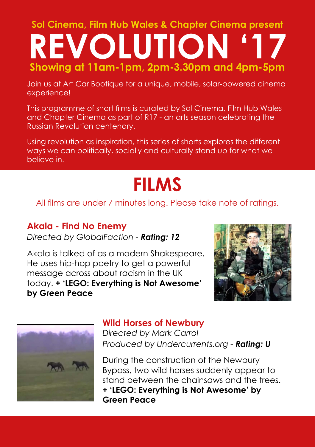# **Sol Cinema, Film Hub Wales & Chapter Cinema present REVOLUTION Showing at 11am-1pm, 2pm-3.30pm and 4pm-5pm**

Join us at Art Car Bootique for a unique, mobile, solar-powered cinema experience!

This programme of short films is curated by Sol Cinema, Film Hub Wales and Chapter Cinema as part of R17 - an arts season celebrating the Russian Revolution centenary.

Using revolution as inspiration, this series of shorts explores the different ways we can politically, socially and culturally stand up for what we believe in.

# **FILMS**

#### All films are under 7 minutes long. Please take note of ratings.

### **Akala - Find No Enemy**

*Directed by GlobalFaction - Rating: 12*

Akala is talked of as a modern Shakespeare. He uses hip-hop poetry to get a powerful message across about racism in the UK today. **+ 'LEGO: Everything is Not Awesome' by Green Peace**





#### **Wild Horses of Newbury**

*Directed by Mark Carrol Produced by Undercurrents.org - Rating: U*

During the construction of the Newbury Bypass, two wild horses suddenly appear to stand between the chainsaws and the trees. **+ 'LEGO: Everything is Not Awesome' by Green Peace**